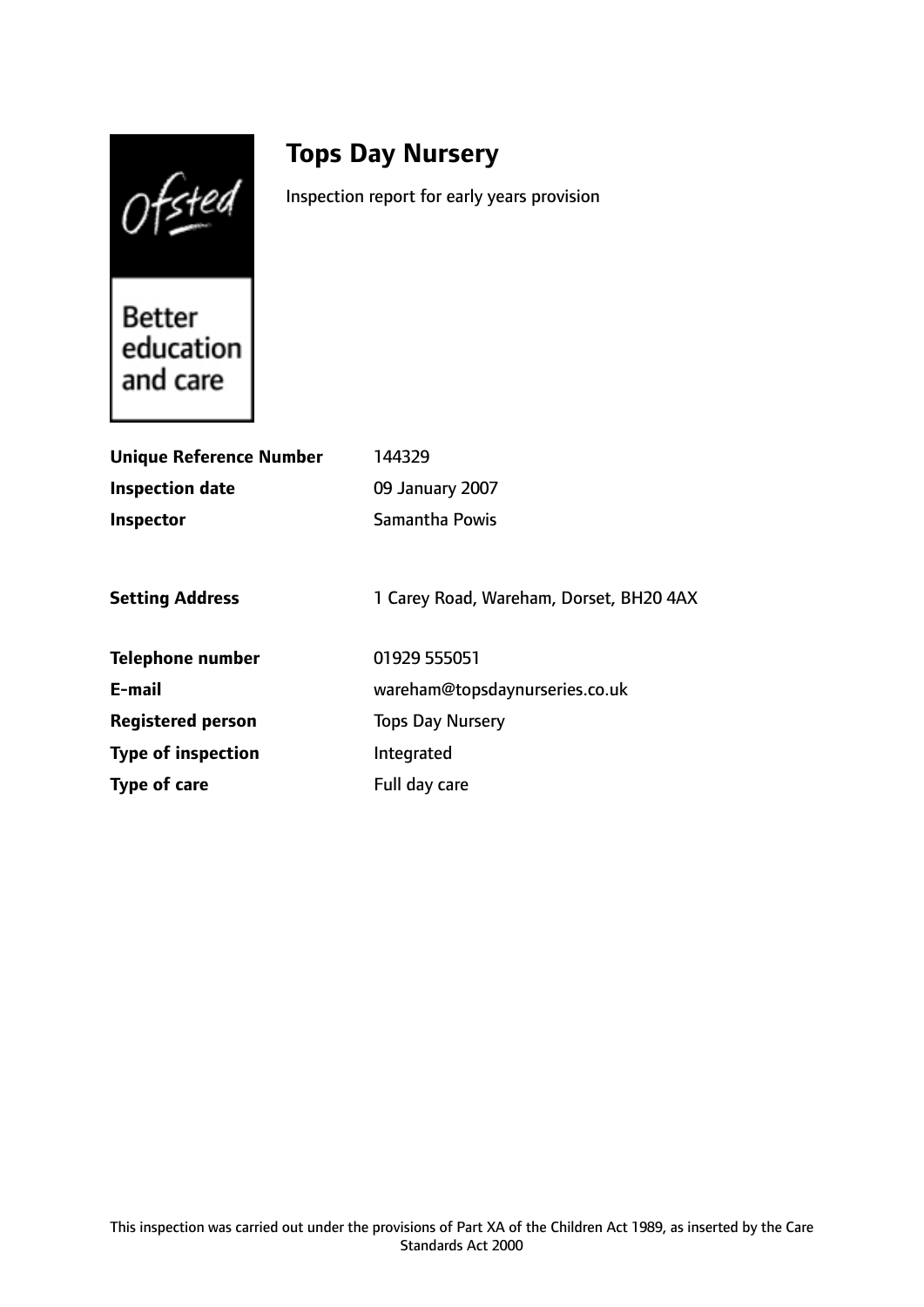Ofsted

# **Tops Day Nursery**

Inspection report for early years provision

**Better** education and care

| <b>Unique Reference Number</b> | 144329                                  |
|--------------------------------|-----------------------------------------|
| <b>Inspection date</b>         | 09 January 2007                         |
| <b>Inspector</b>               | <b>Samantha Powis</b>                   |
|                                |                                         |
| <b>Setting Address</b>         | 1 Carey Road, Wareham, Dorset, BH20 4AX |
| <b>Telephone number</b>        | 01929 555051                            |
| E-mail                         | wareham@topsdaynurseries.co.uk          |
| <b>Registered person</b>       | <b>Tops Day Nursery</b>                 |
| <b>Type of inspection</b>      | Integrated                              |
| Type of care                   | Full day care                           |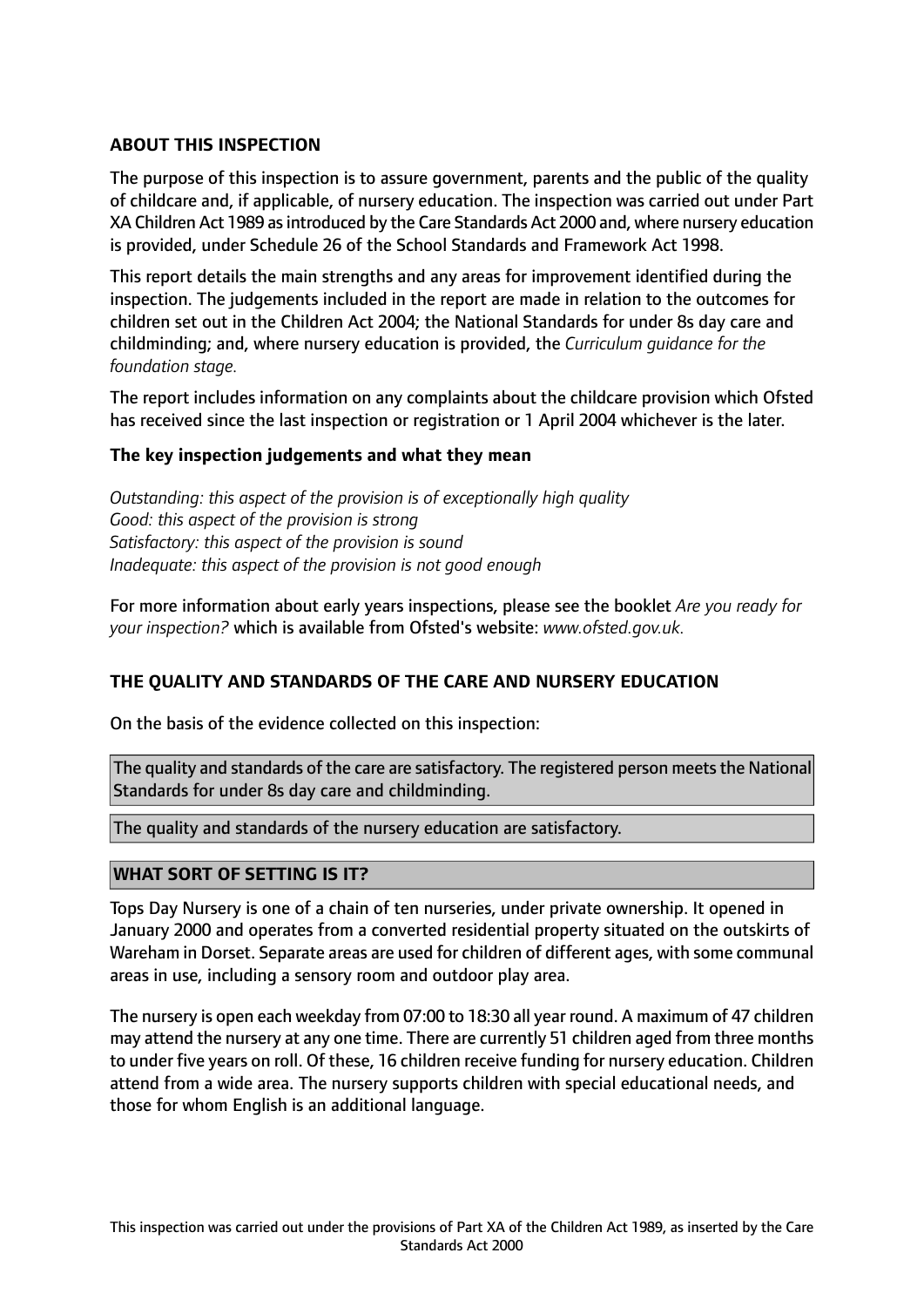# **ABOUT THIS INSPECTION**

The purpose of this inspection is to assure government, parents and the public of the quality of childcare and, if applicable, of nursery education. The inspection was carried out under Part XA Children Act 1989 asintroduced by the Care Standards Act 2000 and, where nursery education is provided, under Schedule 26 of the School Standards and Framework Act 1998.

This report details the main strengths and any areas for improvement identified during the inspection. The judgements included in the report are made in relation to the outcomes for children set out in the Children Act 2004; the National Standards for under 8s day care and childminding; and, where nursery education is provided, the *Curriculum guidance for the foundation stage.*

The report includes information on any complaints about the childcare provision which Ofsted has received since the last inspection or registration or 1 April 2004 whichever is the later.

#### **The key inspection judgements and what they mean**

*Outstanding: this aspect of the provision is of exceptionally high quality Good: this aspect of the provision is strong Satisfactory: this aspect of the provision is sound Inadequate: this aspect of the provision is not good enough*

For more information about early years inspections, please see the booklet *Are you ready for your inspection?* which is available from Ofsted's website: *www.ofsted.gov.uk.*

#### **THE QUALITY AND STANDARDS OF THE CARE AND NURSERY EDUCATION**

On the basis of the evidence collected on this inspection:

The quality and standards of the care are satisfactory. The registered person meets the National Standards for under 8s day care and childminding.

The quality and standards of the nursery education are satisfactory.

#### **WHAT SORT OF SETTING IS IT?**

Tops Day Nursery is one of a chain of ten nurseries, under private ownership. It opened in January 2000 and operates from a converted residential property situated on the outskirts of Wareham in Dorset. Separate areas are used for children of different ages, with some communal areas in use, including a sensory room and outdoor play area.

The nursery is open each weekday from 07:00 to 18:30 all year round. A maximum of 47 children may attend the nursery at any one time. There are currently 51 children aged from three months to under five years on roll. Of these, 16 children receive funding for nursery education. Children attend from a wide area. The nursery supports children with special educational needs, and those for whom English is an additional language.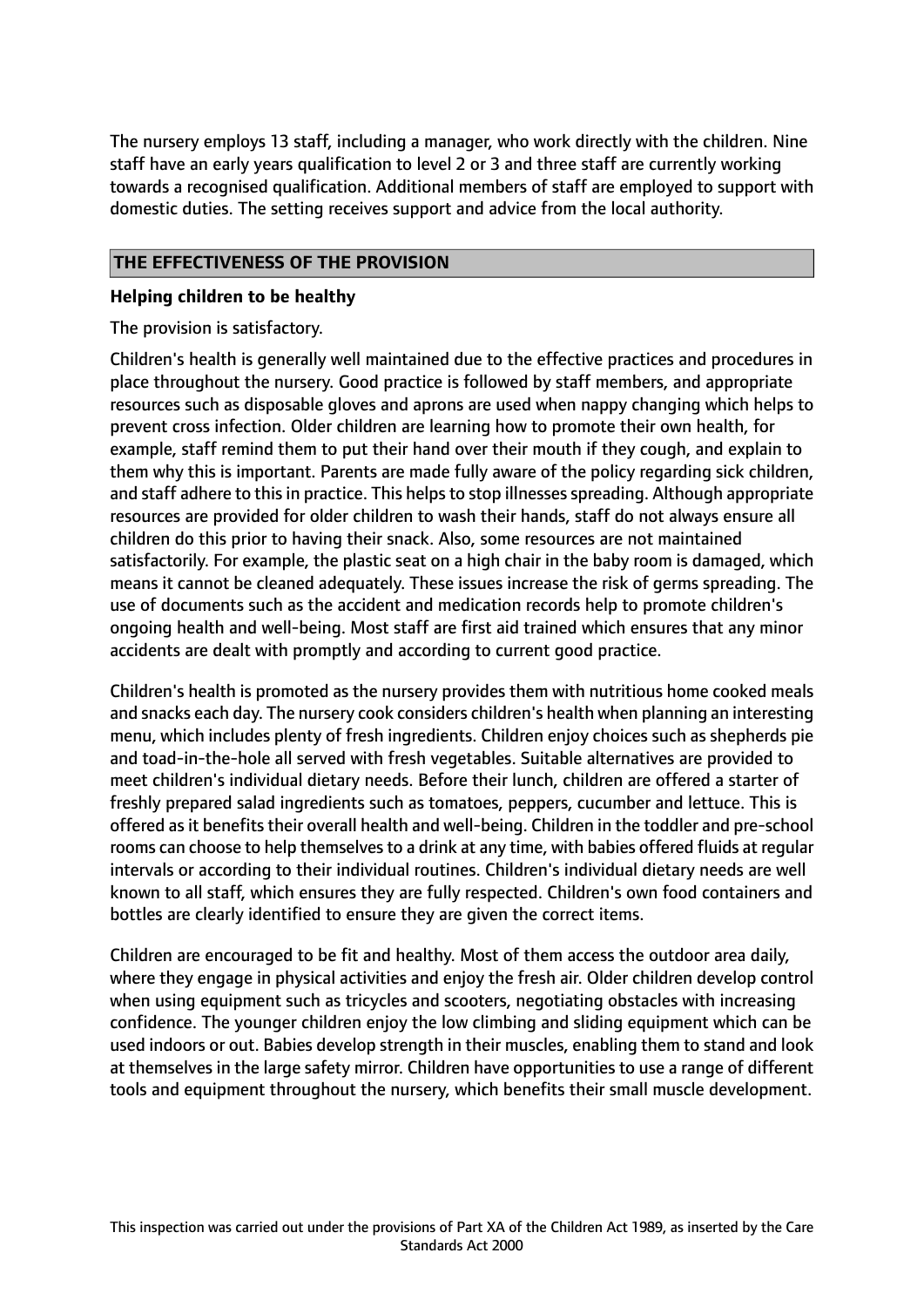The nursery employs 13 staff, including a manager, who work directly with the children. Nine staff have an early years qualification to level 2 or 3 and three staff are currently working towards a recognised qualification. Additional members of staff are employed to support with domestic duties. The setting receives support and advice from the local authority.

# **THE EFFECTIVENESS OF THE PROVISION**

#### **Helping children to be healthy**

The provision is satisfactory.

Children's health is generally well maintained due to the effective practices and procedures in place throughout the nursery. Good practice is followed by staff members, and appropriate resources such as disposable gloves and aprons are used when nappy changing which helps to prevent cross infection. Older children are learning how to promote their own health, for example, staff remind them to put their hand over their mouth if they cough, and explain to them why this is important. Parents are made fully aware of the policy regarding sick children, and staff adhere to this in practice. This helps to stop illnesses spreading. Although appropriate resources are provided for older children to wash their hands, staff do not always ensure all children do this prior to having their snack. Also, some resources are not maintained satisfactorily. For example, the plastic seat on a high chair in the baby room is damaged, which means it cannot be cleaned adequately. These issues increase the risk of germs spreading. The use of documents such as the accident and medication records help to promote children's ongoing health and well-being. Most staff are first aid trained which ensures that any minor accidents are dealt with promptly and according to current good practice.

Children's health is promoted as the nursery provides them with nutritious home cooked meals and snacks each day. The nursery cook considers children's health when planning an interesting menu, which includes plenty of fresh ingredients. Children enjoy choices such as shepherds pie and toad-in-the-hole all served with fresh vegetables. Suitable alternatives are provided to meet children's individual dietary needs. Before their lunch, children are offered a starter of freshly prepared salad ingredients such as tomatoes, peppers, cucumber and lettuce. This is offered as it benefits their overall health and well-being. Children in the toddler and pre-school rooms can choose to help themselves to a drink at any time, with babies offered fluids at regular intervals or according to their individual routines. Children's individual dietary needs are well known to all staff, which ensures they are fully respected. Children's own food containers and bottles are clearly identified to ensure they are given the correct items.

Children are encouraged to be fit and healthy. Most of them access the outdoor area daily, where they engage in physical activities and enjoy the fresh air. Older children develop control when using equipment such as tricycles and scooters, negotiating obstacles with increasing confidence. The younger children enjoy the low climbing and sliding equipment which can be used indoors or out. Babies develop strength in their muscles, enabling them to stand and look at themselves in the large safety mirror. Children have opportunities to use a range of different tools and equipment throughout the nursery, which benefits their small muscle development.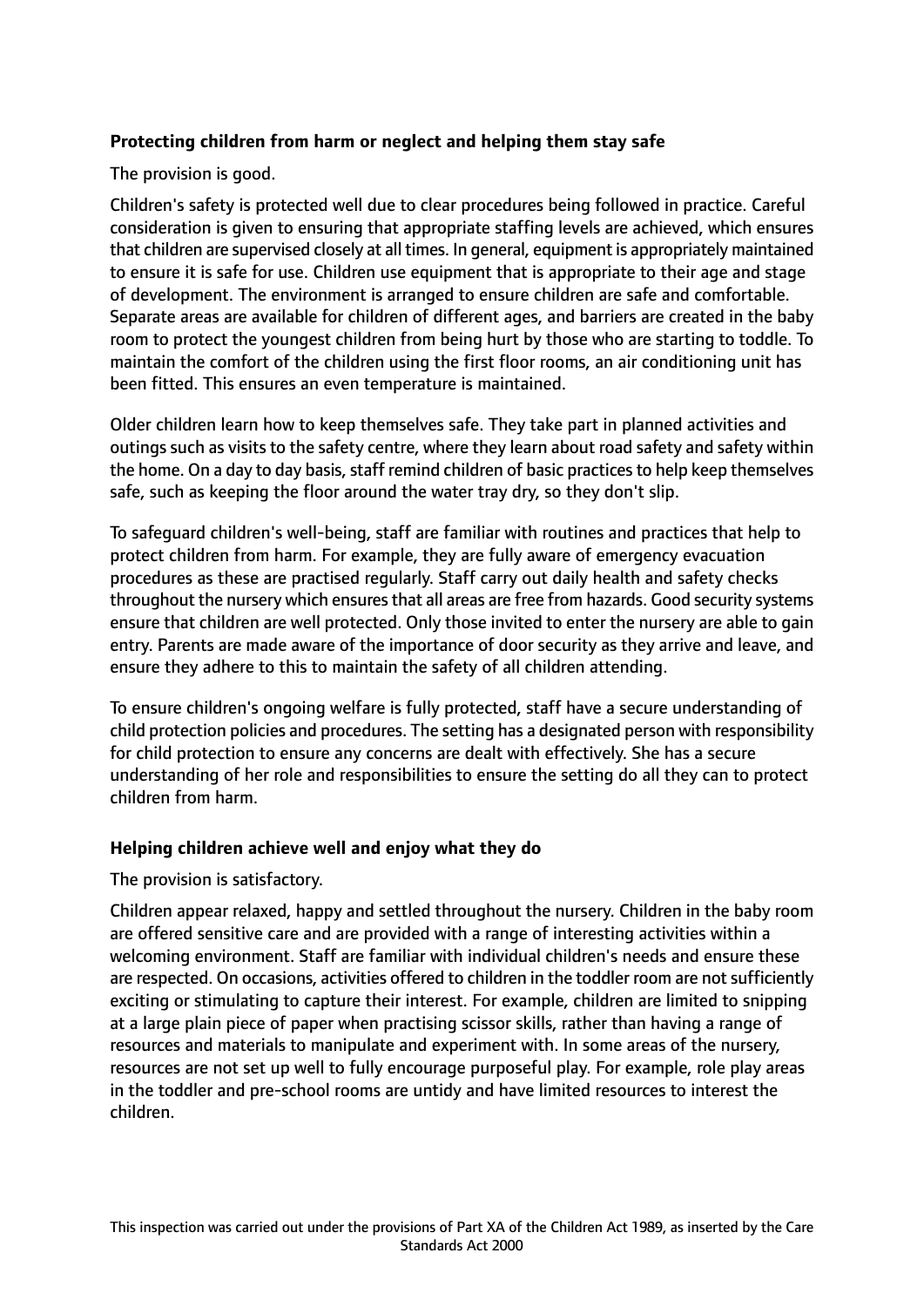# **Protecting children from harm or neglect and helping them stay safe**

The provision is good.

Children's safety is protected well due to clear procedures being followed in practice. Careful consideration is given to ensuring that appropriate staffing levels are achieved, which ensures that children are supervised closely at all times. In general, equipment is appropriately maintained to ensure it is safe for use. Children use equipment that is appropriate to their age and stage of development. The environment is arranged to ensure children are safe and comfortable. Separate areas are available for children of different ages, and barriers are created in the baby room to protect the youngest children from being hurt by those who are starting to toddle. To maintain the comfort of the children using the first floor rooms, an air conditioning unit has been fitted. This ensures an even temperature is maintained.

Older children learn how to keep themselves safe. They take part in planned activities and outings such as visits to the safety centre, where they learn about road safety and safety within the home. On a day to day basis, staff remind children of basic practices to help keep themselves safe, such as keeping the floor around the water tray dry, so they don't slip.

To safeguard children's well-being, staff are familiar with routines and practices that help to protect children from harm. For example, they are fully aware of emergency evacuation procedures as these are practised regularly. Staff carry out daily health and safety checks throughout the nursery which ensures that all areas are free from hazards. Good security systems ensure that children are well protected. Only those invited to enter the nursery are able to gain entry. Parents are made aware of the importance of door security as they arrive and leave, and ensure they adhere to this to maintain the safety of all children attending.

To ensure children's ongoing welfare is fully protected, staff have a secure understanding of child protection policies and procedures. The setting has a designated person with responsibility for child protection to ensure any concerns are dealt with effectively. She has a secure understanding of her role and responsibilities to ensure the setting do all they can to protect children from harm.

#### **Helping children achieve well and enjoy what they do**

The provision is satisfactory.

Children appear relaxed, happy and settled throughout the nursery. Children in the baby room are offered sensitive care and are provided with a range of interesting activities within a welcoming environment. Staff are familiar with individual children's needs and ensure these are respected. On occasions, activities offered to children in the toddler room are not sufficiently exciting or stimulating to capture their interest. For example, children are limited to snipping at a large plain piece of paper when practising scissor skills, rather than having a range of resources and materials to manipulate and experiment with. In some areas of the nursery, resources are not set up well to fully encourage purposeful play. For example, role play areas in the toddler and pre-school rooms are untidy and have limited resources to interest the children.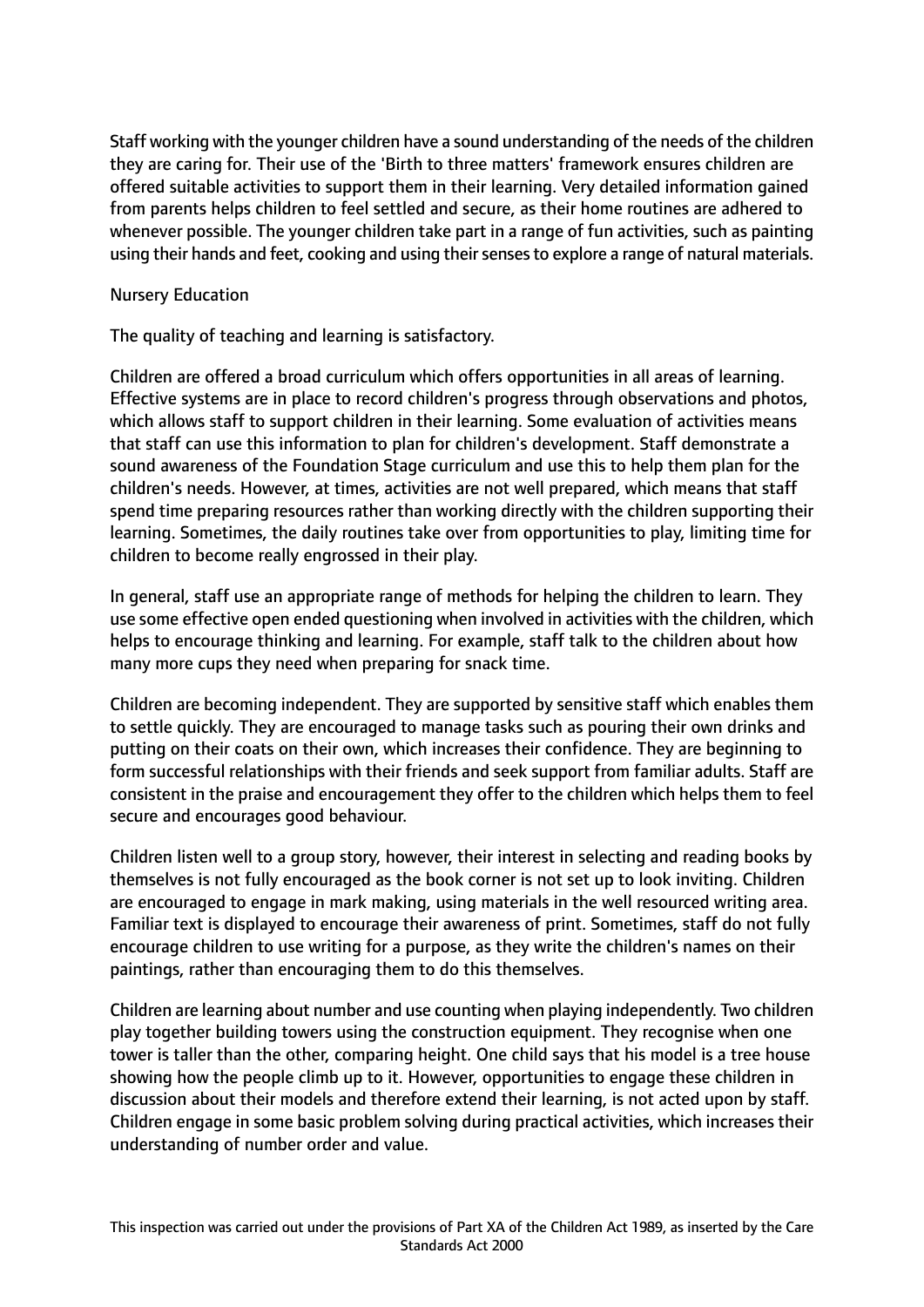Staff working with the younger children have a sound understanding of the needs of the children they are caring for. Their use of the 'Birth to three matters' framework ensures children are offered suitable activities to support them in their learning. Very detailed information gained from parents helps children to feel settled and secure, as their home routines are adhered to whenever possible. The younger children take part in a range of fun activities, such as painting using their hands and feet, cooking and using their senses to explore a range of natural materials.

#### Nursery Education

The quality of teaching and learning is satisfactory.

Children are offered a broad curriculum which offers opportunities in all areas of learning. Effective systems are in place to record children's progress through observations and photos, which allows staff to support children in their learning. Some evaluation of activities means that staff can use this information to plan for children's development. Staff demonstrate a sound awareness of the Foundation Stage curriculum and use this to help them plan for the children's needs. However, at times, activities are not well prepared, which means that staff spend time preparing resources rather than working directly with the children supporting their learning. Sometimes, the daily routines take over from opportunities to play, limiting time for children to become really engrossed in their play.

In general, staff use an appropriate range of methods for helping the children to learn. They use some effective open ended questioning when involved in activities with the children, which helps to encourage thinking and learning. For example, staff talk to the children about how many more cups they need when preparing for snack time.

Children are becoming independent. They are supported by sensitive staff which enables them to settle quickly. They are encouraged to manage tasks such as pouring their own drinks and putting on their coats on their own, which increases their confidence. They are beginning to form successful relationships with their friends and seek support from familiar adults. Staff are consistent in the praise and encouragement they offer to the children which helps them to feel secure and encourages good behaviour.

Children listen well to a group story, however, their interest in selecting and reading books by themselves is not fully encouraged as the book corner is not set up to look inviting. Children are encouraged to engage in mark making, using materials in the well resourced writing area. Familiar text is displayed to encourage their awareness of print. Sometimes, staff do not fully encourage children to use writing for a purpose, as they write the children's names on their paintings, rather than encouraging them to do this themselves.

Children are learning about number and use counting when playing independently. Two children play together building towers using the construction equipment. They recognise when one tower is taller than the other, comparing height. One child says that his model is a tree house showing how the people climb up to it. However, opportunities to engage these children in discussion about their models and therefore extend their learning, is not acted upon by staff. Children engage in some basic problem solving during practical activities, which increases their understanding of number order and value.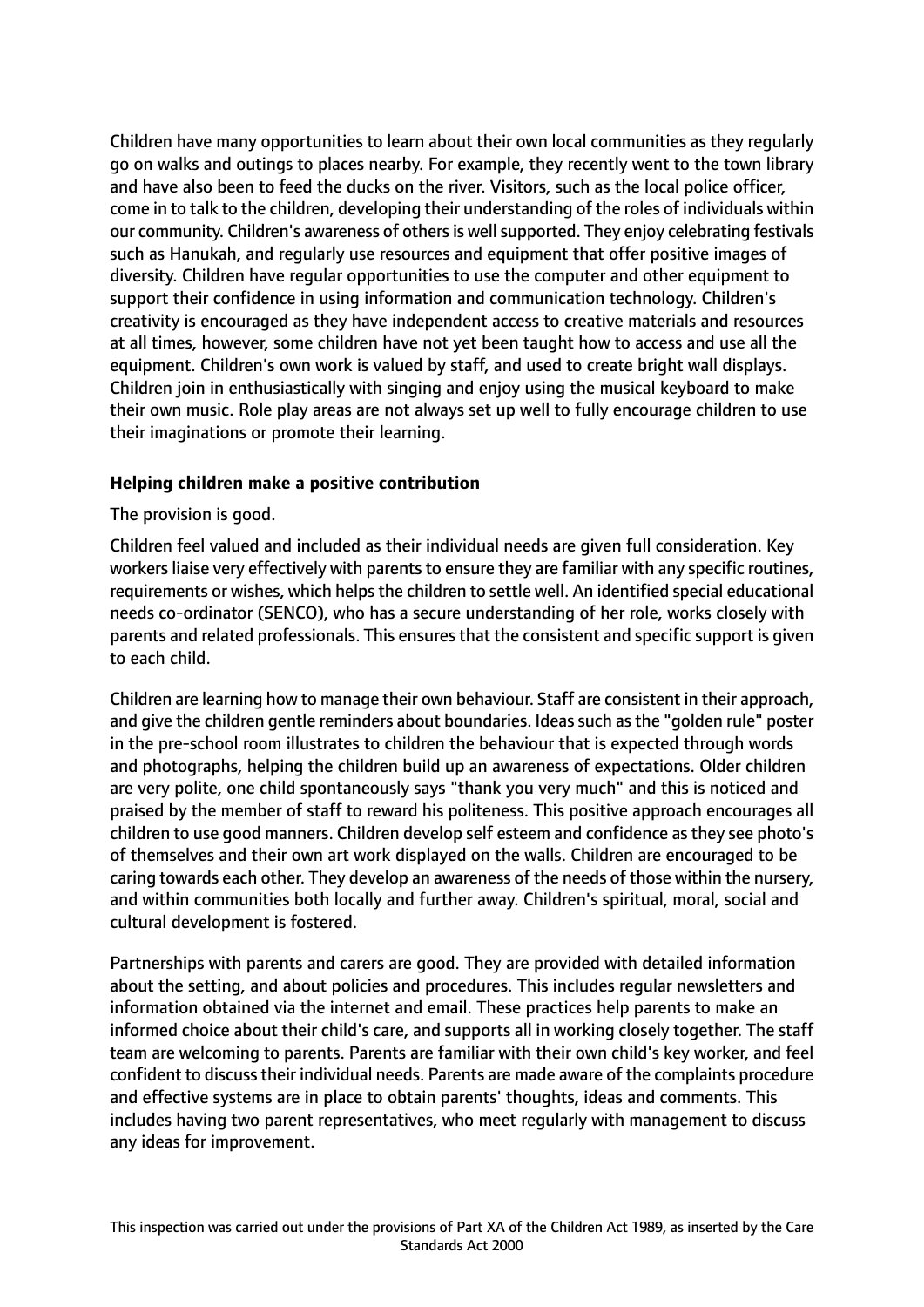Children have many opportunities to learn about their own local communities as they regularly go on walks and outings to places nearby. For example, they recently went to the town library and have also been to feed the ducks on the river. Visitors, such as the local police officer, come in to talk to the children, developing their understanding of the roles of individuals within our community. Children's awareness of others is well supported. They enjoy celebrating festivals such as Hanukah, and regularly use resources and equipment that offer positive images of diversity. Children have regular opportunities to use the computer and other equipment to support their confidence in using information and communication technology. Children's creativity is encouraged as they have independent access to creative materials and resources at all times, however, some children have not yet been taught how to access and use all the equipment. Children's own work is valued by staff, and used to create bright wall displays. Children join in enthusiastically with singing and enjoy using the musical keyboard to make their own music. Role play areas are not always set up well to fully encourage children to use their imaginations or promote their learning.

#### **Helping children make a positive contribution**

The provision is good.

Children feel valued and included as their individual needs are given full consideration. Key workers liaise very effectively with parents to ensure they are familiar with any specific routines, requirements or wishes, which helps the children to settle well. An identified special educational needs co-ordinator (SENCO), who has a secure understanding of her role, works closely with parents and related professionals. This ensures that the consistent and specific support is given to each child.

Children are learning how to manage their own behaviour. Staff are consistent in their approach, and give the children gentle reminders about boundaries. Ideas such as the "golden rule" poster in the pre-school room illustrates to children the behaviour that is expected through words and photographs, helping the children build up an awareness of expectations. Older children are very polite, one child spontaneously says "thank you very much" and this is noticed and praised by the member of staff to reward his politeness. This positive approach encourages all children to use good manners. Children develop self esteem and confidence as they see photo's of themselves and their own art work displayed on the walls. Children are encouraged to be caring towards each other. They develop an awareness of the needs of those within the nursery, and within communities both locally and further away. Children's spiritual, moral, social and cultural development is fostered.

Partnerships with parents and carers are good. They are provided with detailed information about the setting, and about policies and procedures. This includes regular newsletters and information obtained via the internet and email. These practices help parents to make an informed choice about their child's care, and supports all in working closely together. The staff team are welcoming to parents. Parents are familiar with their own child's key worker, and feel confident to discuss their individual needs. Parents are made aware of the complaints procedure and effective systems are in place to obtain parents' thoughts, ideas and comments. This includes having two parent representatives, who meet regularly with management to discuss any ideas for improvement.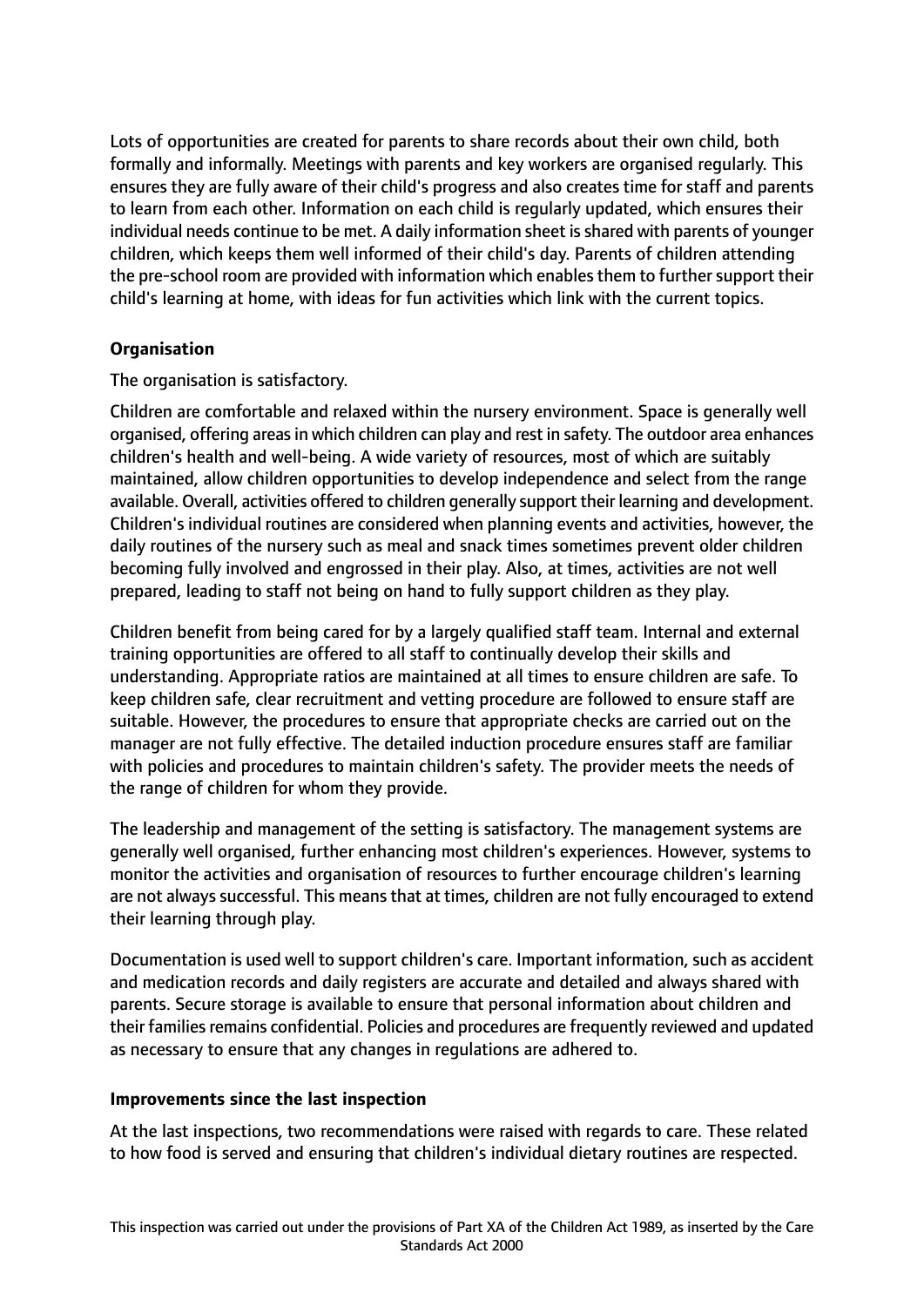Lots of opportunities are created for parents to share records about their own child, both formally and informally. Meetings with parents and key workers are organised regularly. This ensures they are fully aware of their child's progress and also creates time for staff and parents to learn from each other. Information on each child is regularly updated, which ensures their individual needs continue to be met. A daily information sheet is shared with parents of younger children, which keeps them well informed of their child's day. Parents of children attending the pre-school room are provided with information which enables them to further support their child's learning at home, with ideas for fun activities which link with the current topics.

# **Organisation**

The organisation is satisfactory.

Children are comfortable and relaxed within the nursery environment. Space is generally well organised, offering areasin which children can play and rest in safety. The outdoor area enhances children's health and well-being. A wide variety of resources, most of which are suitably maintained, allow children opportunities to develop independence and select from the range available. Overall, activities offered to children generally support their learning and development. Children's individual routines are considered when planning events and activities, however, the daily routines of the nursery such as meal and snack times sometimes prevent older children becoming fully involved and engrossed in their play. Also, at times, activities are not well prepared, leading to staff not being on hand to fully support children as they play.

Children benefit from being cared for by a largely qualified staff team. Internal and external training opportunities are offered to all staff to continually develop their skills and understanding. Appropriate ratios are maintained at all times to ensure children are safe. To keep children safe, clear recruitment and vetting procedure are followed to ensure staff are suitable. However, the procedures to ensure that appropriate checks are carried out on the manager are not fully effective. The detailed induction procedure ensures staff are familiar with policies and procedures to maintain children's safety. The provider meets the needs of the range of children for whom they provide.

The leadership and management of the setting is satisfactory. The management systems are generally well organised, further enhancing most children's experiences. However, systems to monitor the activities and organisation of resources to further encourage children's learning are not always successful. This means that at times, children are not fully encouraged to extend their learning through play.

Documentation is used well to support children's care. Important information, such as accident and medication records and daily registers are accurate and detailed and always shared with parents. Secure storage is available to ensure that personal information about children and their families remains confidential. Policies and procedures are frequently reviewed and updated as necessary to ensure that any changes in regulations are adhered to.

#### **Improvements since the last inspection**

At the last inspections, two recommendations were raised with regards to care. These related to how food is served and ensuring that children's individual dietary routines are respected.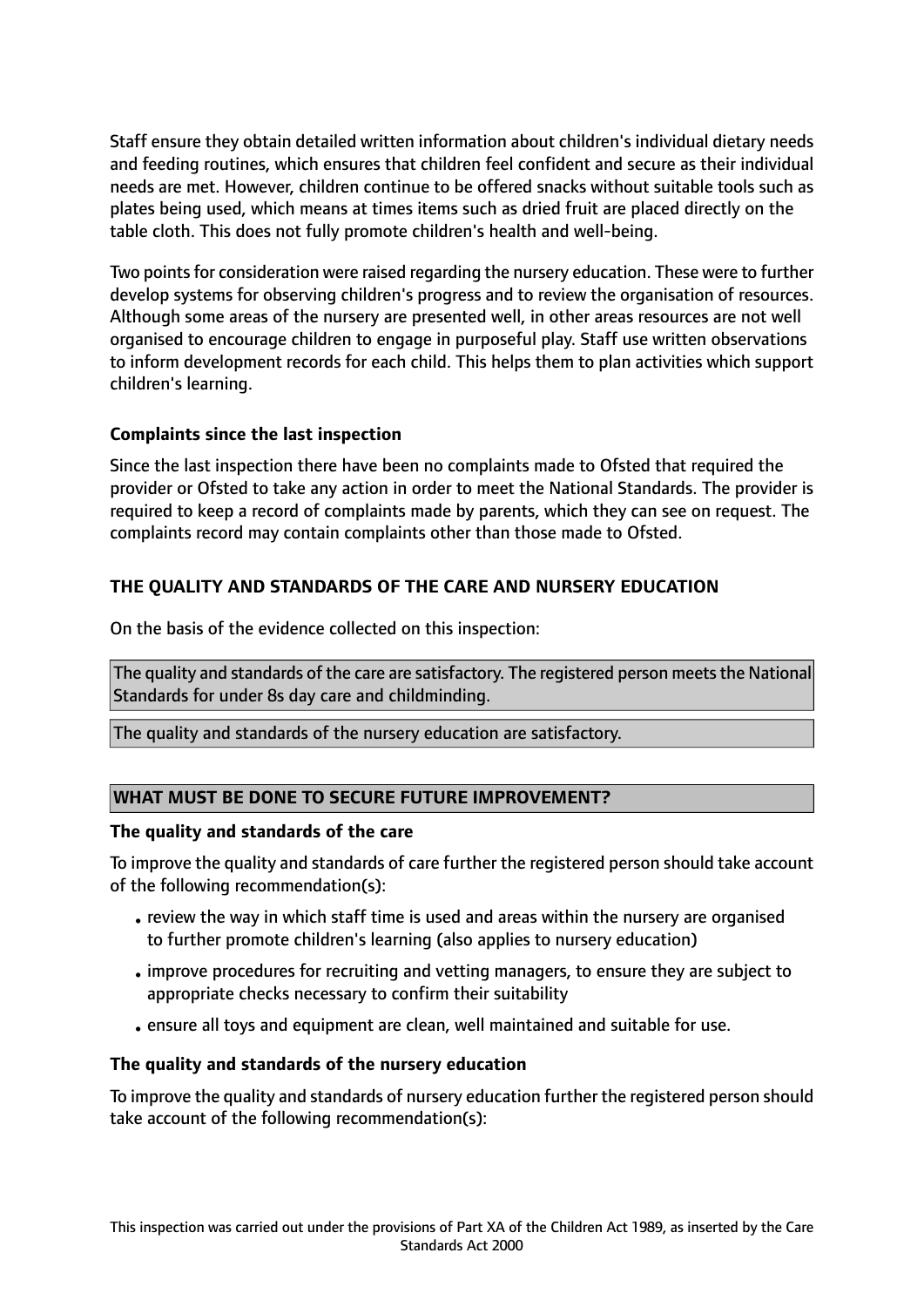Staff ensure they obtain detailed written information about children's individual dietary needs and feeding routines, which ensures that children feel confident and secure as their individual needs are met. However, children continue to be offered snacks without suitable tools such as plates being used, which means at times items such as dried fruit are placed directly on the table cloth. This does not fully promote children's health and well-being.

Two points for consideration were raised regarding the nursery education. These were to further develop systems for observing children's progress and to review the organisation of resources. Although some areas of the nursery are presented well, in other areas resources are not well organised to encourage children to engage in purposeful play. Staff use written observations to inform development records for each child. This helps them to plan activities which support children's learning.

# **Complaints since the last inspection**

Since the last inspection there have been no complaints made to Ofsted that required the provider or Ofsted to take any action in order to meet the National Standards. The provider is required to keep a record of complaints made by parents, which they can see on request. The complaints record may contain complaints other than those made to Ofsted.

# **THE QUALITY AND STANDARDS OF THE CARE AND NURSERY EDUCATION**

On the basis of the evidence collected on this inspection:

The quality and standards of the care are satisfactory. The registered person meets the National Standards for under 8s day care and childminding.

The quality and standards of the nursery education are satisfactory.

#### **WHAT MUST BE DONE TO SECURE FUTURE IMPROVEMENT?**

#### **The quality and standards of the care**

To improve the quality and standards of care further the registered person should take account of the following recommendation(s):

- review the way in which staff time is used and areas within the nursery are organised to further promote children's learning (also applies to nursery education)
- •improve procedures for recruiting and vetting managers, to ensure they are subject to appropriate checks necessary to confirm their suitability
- •ensure all toys and equipment are clean, well maintained and suitable for use.

#### **The quality and standards of the nursery education**

To improve the quality and standards of nursery education further the registered person should take account of the following recommendation(s):